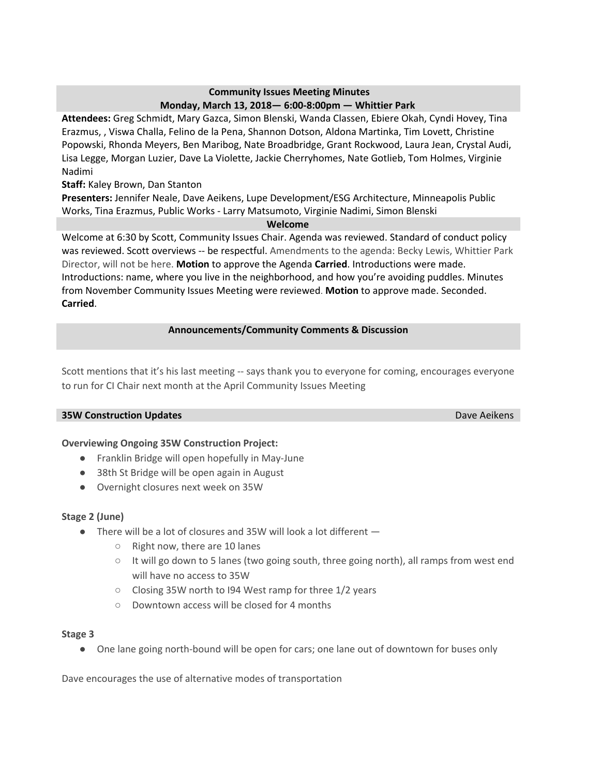# **Community Issues Meeting Minutes Monday, March 13, 2018— 6:00-8:00pm — Whittier Park**

**Attendees:** Greg Schmidt, Mary Gazca, Simon Blenski, Wanda Classen, Ebiere Okah, Cyndi Hovey, Tina Erazmus, , Viswa Challa, Felino de la Pena, Shannon Dotson, Aldona Martinka, Tim Lovett, Christine Popowski, Rhonda Meyers, Ben Maribog, Nate Broadbridge, Grant Rockwood, Laura Jean, Crystal Audi, Lisa Legge, Morgan Luzier, Dave La Violette, Jackie Cherryhomes, Nate Gotlieb, Tom Holmes, Virginie Nadimi

# **Staff:** Kaley Brown, Dan Stanton

**Presenters:** Jennifer Neale, Dave Aeikens, Lupe Development/ESG Architecture, Minneapolis Public Works, Tina Erazmus, Public Works - Larry Matsumoto, Virginie Nadimi, Simon Blenski

#### **Welcome**

Welcome at 6:30 by Scott, Community Issues Chair. Agenda was reviewed. Standard of conduct policy was reviewed. Scott overviews -- be respectful. Amendments to the agenda: Becky Lewis, Whittier Park Director, will not be here. **Motion** to approve the Agenda **Carried**. Introductions were made. Introductions: name, where you live in the neighborhood, and how you're avoiding puddles. Minutes from November Community Issues Meeting were reviewed. **Motion** to approve made. Seconded. **Carried**.

## **Announcements/Community Comments & Discussion**

Scott mentions that it's his last meeting -- says thank you to everyone for coming, encourages everyone to run for CI Chair next month at the April Community Issues Meeting

### **35W Construction Updates** Dave Aeikens Dave Aeikens

### **Overviewing Ongoing 35W Construction Project:**

- Franklin Bridge will open hopefully in May-June
- 38th St Bridge will be open again in August
- Overnight closures next week on 35W

### **Stage 2 (June)**

- There will be a lot of closures and 35W will look a lot different
	- Right now, there are 10 lanes
	- It will go down to 5 lanes (two going south, three going north), all ramps from west end will have no access to 35W
	- Closing 35W north to I94 West ramp for three 1/2 years
	- Downtown access will be closed for 4 months

### **Stage 3**

● One lane going north-bound will be open for cars; one lane out of downtown for buses only

Dave encourages the use of alternative modes of transportation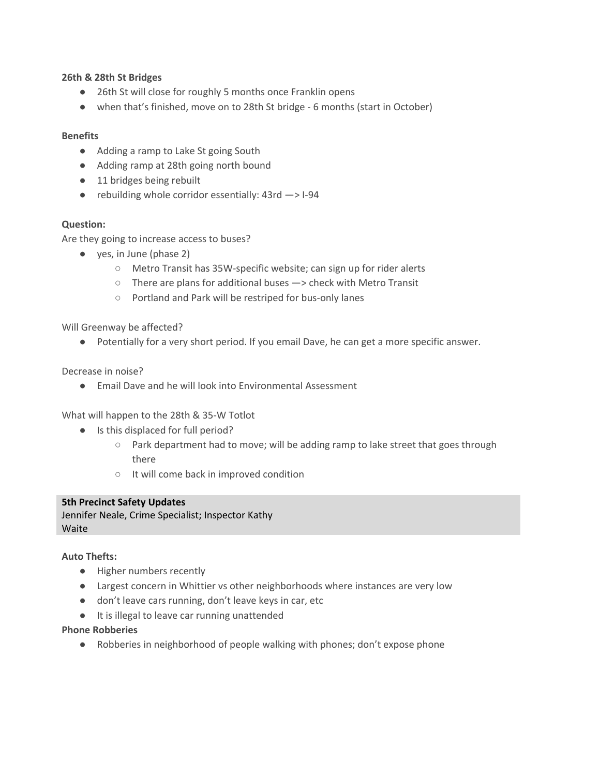#### **26th & 28th St Bridges**

- 26th St will close for roughly 5 months once Franklin opens
- when that's finished, move on to 28th St bridge 6 months (start in October)

### **Benefits**

- Adding a ramp to Lake St going South
- Adding ramp at 28th going north bound
- 11 bridges being rebuilt
- $\bullet$  rebuilding whole corridor essentially: 43rd  $\rightarrow$  1-94

### **Question:**

Are they going to increase access to buses?

- yes, in June (phase 2)
	- Metro Transit has 35W-specific website; can sign up for rider alerts
	- There are plans for additional buses —> check with Metro Transit
	- Portland and Park will be restriped for bus-only lanes

Will Greenway be affected?

● Potentially for a very short period. If you email Dave, he can get a more specific answer.

Decrease in noise?

● Email Dave and he will look into Environmental Assessment

What will happen to the 28th & 35-W Totlot

- Is this displaced for full period?
	- Park department had to move; will be adding ramp to lake street that goes through there
	- It will come back in improved condition

### **5th Precinct Safety Updates**

Jennifer Neale, Crime Specialist; Inspector Kathy **Waite** 

### **Auto Thefts:**

- Higher numbers recently
- Largest concern in Whittier vs other neighborhoods where instances are very low
- don't leave cars running, don't leave keys in car, etc
- It is illegal to leave car running unattended

#### **Phone Robberies**

● Robberies in neighborhood of people walking with phones; don't expose phone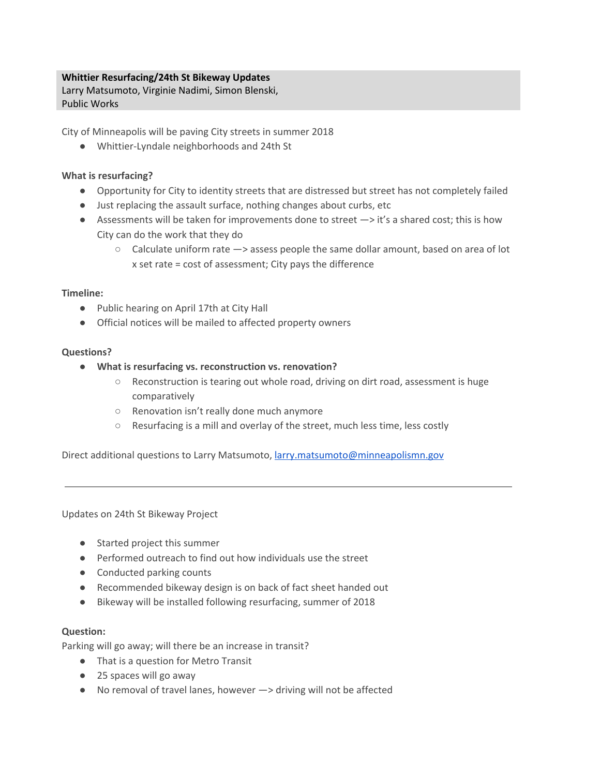# **Whittier Resurfacing/24th St Bikeway Updates**

Larry Matsumoto, Virginie Nadimi, Simon Blenski, Public Works

City of Minneapolis will be paving City streets in summer 2018

● Whittier-Lyndale neighborhoods and 24th St

## **What is resurfacing?**

- Opportunity for City to identity streets that are distressed but street has not completely failed
- Just replacing the assault surface, nothing changes about curbs, etc
- Assessments will be taken for improvements done to street  $\rightarrow$  it's a shared cost; this is how City can do the work that they do
	- $\circ$  Calculate uniform rate  $\rightarrow$  assess people the same dollar amount, based on area of lot x set rate = cost of assessment; City pays the difference

### **Timeline:**

- Public hearing on April 17th at City Hall
- Official notices will be mailed to affected property owners

### **Questions?**

- **● What is resurfacing vs. reconstruction vs. renovation?**
	- Reconstruction is tearing out whole road, driving on dirt road, assessment is huge comparatively
	- Renovation isn't really done much anymore
	- Resurfacing is a mill and overlay of the street, much less time, less costly

Direct additional questions to Larry Matsumoto, [larry.matsumoto@minneapolismn.gov](mailto:larry.matsumoto@minneapolismn.gov)

Updates on 24th St Bikeway Project

- Started project this summer
- Performed outreach to find out how individuals use the street
- Conducted parking counts
- Recommended bikeway design is on back of fact sheet handed out
- Bikeway will be installed following resurfacing, summer of 2018

### **Question:**

Parking will go away; will there be an increase in transit?

- That is a question for Metro Transit
- 25 spaces will go away
- No removal of travel lanes, however -> driving will not be affected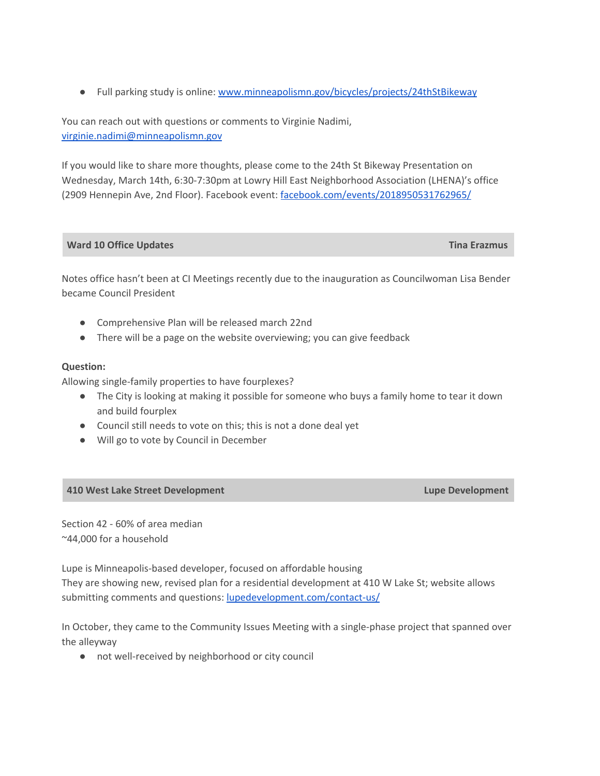● Full parking study is online: [www.minneapolismn.gov/bicycles/projects/24thStBikeway](http://www.minneapolismn.gov/bicycles/projects/24thStBikeway)

You can reach out with questions or comments to Virginie Nadimi, [virginie.nadimi@minneapolismn.gov](mailto:virginie.nadimi@minneapolismn.gov)

If you would like to share more thoughts, please come to the 24th St Bikeway Presentation on Wednesday, March 14th, 6:30-7:30pm at Lowry Hill East Neighborhood Association (LHENA)'s office (2909 Hennepin Ave, 2nd Floor). Facebook event: [facebook.com/events/2018950531762965/](http://facebook.com/events/2018950531762965/)

## **Ward 10 Office Updates Tina Erazmus**

Notes office hasn't been at CI Meetings recently due to the inauguration as Councilwoman Lisa Bender became Council President

- Comprehensive Plan will be released march 22nd
- There will be a page on the website overviewing; you can give feedback

### **Question:**

Allowing single-family properties to have fourplexes?

- The City is looking at making it possible for someone who buys a family home to tear it down and build fourplex
- Council still needs to vote on this; this is not a done deal yet
- Will go to vote by Council in December

### **410 West Lake Street Development Lupe Development**

Section 42 - 60% of area median ~44,000 for a household

Lupe is Minneapolis-based developer, focused on affordable housing They are showing new, revised plan for a residential development at 410 W Lake St; website allows submitting comments and questions: [lupedevelopment.com/contact-us/](http://lupedevelopment.com/contact-us/)

In October, they came to the Community Issues Meeting with a single-phase project that spanned over the alleyway

● not well-received by neighborhood or city council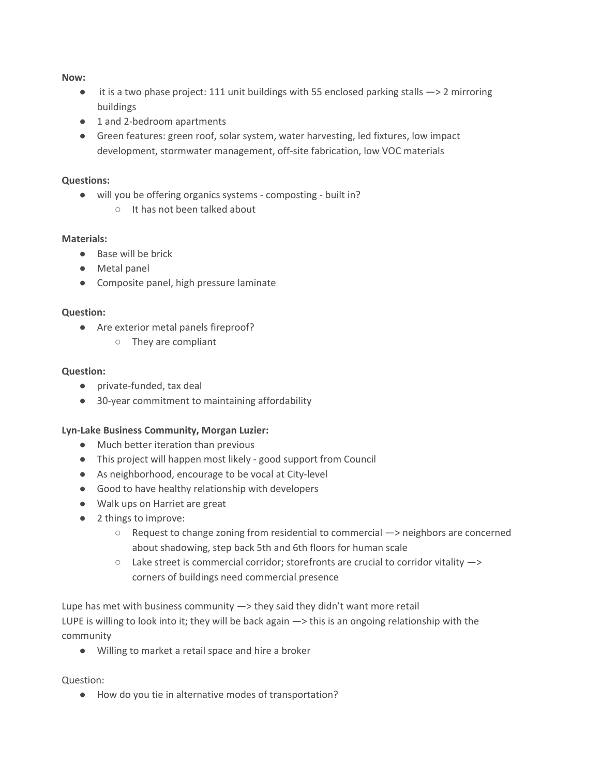### **Now:**

- it is a two phase project: 111 unit buildings with 55 enclosed parking stalls —> 2 mirroring buildings
- 1 and 2-bedroom apartments
- Green features: green roof, solar system, water harvesting, led fixtures, low impact development, stormwater management, off-site fabrication, low VOC materials

## **Questions:**

- will you be offering organics systems composting built in?
	- It has not been talked about

## **Materials:**

- Base will be brick
- Metal panel
- Composite panel, high pressure laminate

### **Question:**

- Are exterior metal panels fireproof?
	- They are compliant

### **Question:**

- private-funded, tax deal
- 30-year commitment to maintaining affordability

### **Lyn-Lake Business Community, Morgan Luzier:**

- Much better iteration than previous
- This project will happen most likely good support from Council
- As neighborhood, encourage to be vocal at City-level
- Good to have healthy relationship with developers
- Walk ups on Harriet are great
- 2 things to improve:
	- Request to change zoning from residential to commercial —> neighbors are concerned about shadowing, step back 5th and 6th floors for human scale
	- $\circ$  Lake street is commercial corridor; storefronts are crucial to corridor vitality  $\rightarrow$ corners of buildings need commercial presence

Lupe has met with business community —> they said they didn't want more retail LUPE is willing to look into it; they will be back again —> this is an ongoing relationship with the community

● Willing to market a retail space and hire a broker

### Question:

● How do you tie in alternative modes of transportation?